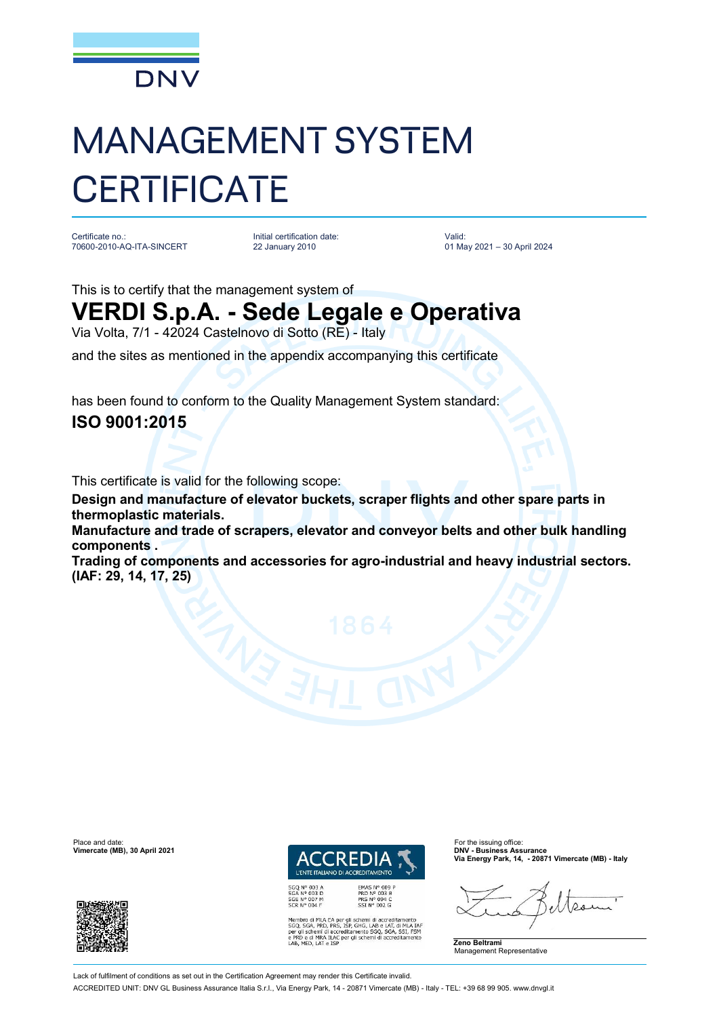

# MANAGEMENT SYSTEM **CERTIFICATE**

Certificate no.: 70600-2010-AQ-ITA-SINCERT

Initial certification date: 22 January 2010

Valid: 01 May 2021 – 30 April 2024

This is to certify that the management system of

## **VERDI S.p.A. - Sede Legale e Operativa**

Via Volta, 7/1 - 42024 Castelnovo di Sotto (RE) - Italy

and the sites as mentioned in the appendix accompanying this certificate

has been found to conform to the Quality Management System standard:

### **ISO 9001:2015**

This certificate is valid for the following scope:

**Design and manufacture of elevator buckets, scraper flights and other spare parts in thermoplastic materials.**

**Manufacture and trade of scrapers, elevator and conveyor belts and other bulk handling components .**

**Trading of components and accessories for agro-industrial and heavy industrial sectors. (IAF: 29, 14, 17, 25)**



Membro di MLA EA per gli schemi di accreditamento<br>SGO, SGA, PRD, PRS, ISP, GHG, LAB e LAT, di MLA IAT<br>per gli schemi di accreditamento SGO, SGA, SSI, FSM<br>e PRD e di MRA ILAC per gli schemi di accreditamento<br>LAB, MED, LAT e

**Via Energy Park, 14, - 20871 Vimercate (MB) - Italy**

 $\Omega$ 



Place and date: For the issuing office:<br> **Place and date:** For the issuing office: For the issuing office: For the issuing office:<br> **Place and Contract Contract Contract Contract Contract Contract Contract Contract Contrac Vimercate (MB), 30 April 2021** 



Lack of fulfilment of conditions as set out in the Certification Agreement may render this Certificate invalid

ACCREDITED UNIT: DNV GL Business Assurance Italia S.r.l., Via Energy Park, 14 - 20871 Vimercate (MB) - Italy - TEL: +39 68 99 905. [www.dnvgl.it](http://www.dnvgl.it)